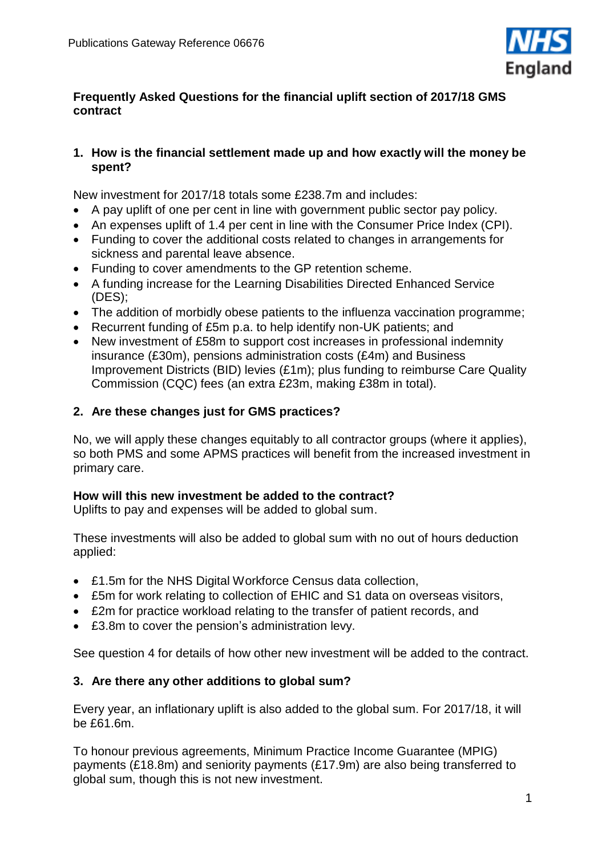

### **Frequently Asked Questions for the financial uplift section of 2017/18 GMS contract**

### **1. How is the financial settlement made up and how exactly will the money be spent?**

New investment for 2017/18 totals some £238.7m and includes:

- A pay uplift of one per cent in line with government public sector pay policy.
- An expenses uplift of 1.4 per cent in line with the Consumer Price Index (CPI).
- Funding to cover the additional costs related to changes in arrangements for sickness and parental leave absence.
- Funding to cover amendments to the GP retention scheme.
- A funding increase for the Learning Disabilities Directed Enhanced Service (DES);
- The addition of morbidly obese patients to the influenza vaccination programme;
- Recurrent funding of £5m p.a. to help identify non-UK patients; and
- New investment of £58m to support cost increases in professional indemnity insurance (£30m), pensions administration costs (£4m) and Business Improvement Districts (BID) levies (£1m); plus funding to reimburse Care Quality Commission (CQC) fees (an extra £23m, making £38m in total).

## **2. Are these changes just for GMS practices?**

No, we will apply these changes equitably to all contractor groups (where it applies), so both PMS and some APMS practices will benefit from the increased investment in primary care.

## **How will this new investment be added to the contract?**

Uplifts to pay and expenses will be added to global sum.

These investments will also be added to global sum with no out of hours deduction applied:

- £1.5m for the NHS Digital Workforce Census data collection,
- £5m for work relating to collection of EHIC and S1 data on overseas visitors,
- £2m for practice workload relating to the transfer of patient records, and
- £3.8m to cover the pension's administration levy.

See question 4 for details of how other new investment will be added to the contract.

## **3. Are there any other additions to global sum?**

Every year, an inflationary uplift is also added to the global sum. For 2017/18, it will be £61.6m.

To honour previous agreements, Minimum Practice Income Guarantee (MPIG) payments (£18.8m) and seniority payments (£17.9m) are also being transferred to global sum, though this is not new investment.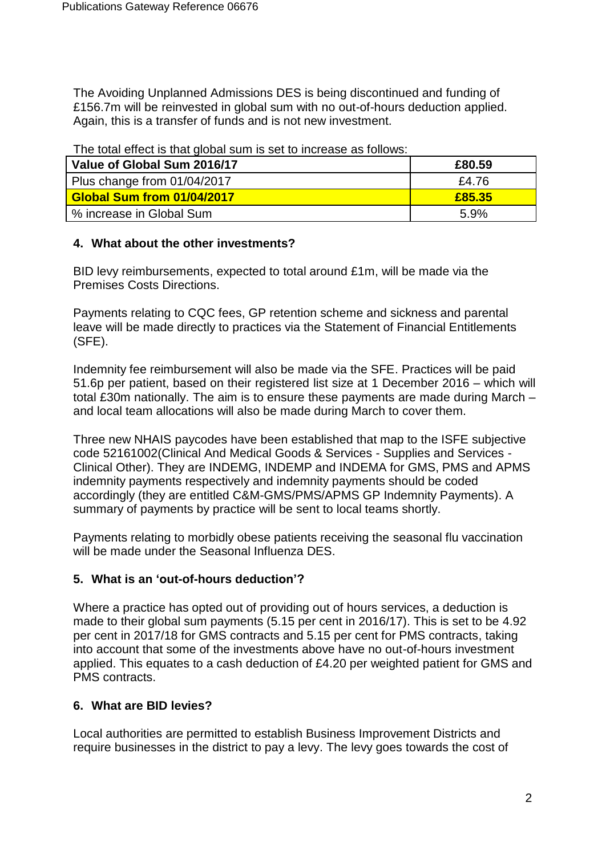The Avoiding Unplanned Admissions DES is being discontinued and funding of £156.7m will be reinvested in global sum with no out-of-hours deduction applied. Again, this is a transfer of funds and is not new investment.

| <b>The following that global bailing bot to liferbace as rollows.</b> |        |
|-----------------------------------------------------------------------|--------|
| Value of Global Sum 2016/17                                           | £80.59 |
| Plus change from 01/04/2017                                           | £4.76  |
| <b>Global Sum from 01/04/2017</b>                                     | £85.35 |
| % increase in Global Sum                                              | 5.9%   |

The total effect is that global sum is set to increase as follows:

#### **4. What about the other investments?**

BID levy reimbursements, expected to total around £1m, will be made via the Premises Costs Directions.

Payments relating to CQC fees, GP retention scheme and sickness and parental leave will be made directly to practices via the Statement of Financial Entitlements (SFE).

Indemnity fee reimbursement will also be made via the SFE. Practices will be paid 51.6p per patient, based on their registered list size at 1 December 2016 – which will total £30m nationally. The aim is to ensure these payments are made during March – and local team allocations will also be made during March to cover them.

Three new NHAIS paycodes have been established that map to the ISFE subjective code 52161002(Clinical And Medical Goods & Services - Supplies and Services - Clinical Other). They are INDEMG, INDEMP and INDEMA for GMS, PMS and APMS indemnity payments respectively and indemnity payments should be coded accordingly (they are entitled C&M-GMS/PMS/APMS GP Indemnity Payments). A summary of payments by practice will be sent to local teams shortly.

Payments relating to morbidly obese patients receiving the seasonal flu vaccination will be made under the Seasonal Influenza DES.

### **5. What is an 'out-of-hours deduction'?**

Where a practice has opted out of providing out of hours services, a deduction is made to their global sum payments (5.15 per cent in 2016/17). This is set to be 4.92 per cent in 2017/18 for GMS contracts and 5.15 per cent for PMS contracts, taking into account that some of the investments above have no out-of-hours investment applied. This equates to a cash deduction of £4.20 per weighted patient for GMS and PMS contracts.

### **6. What are BID levies?**

Local authorities are permitted to establish Business Improvement Districts and require businesses in the district to pay a levy. The levy goes towards the cost of